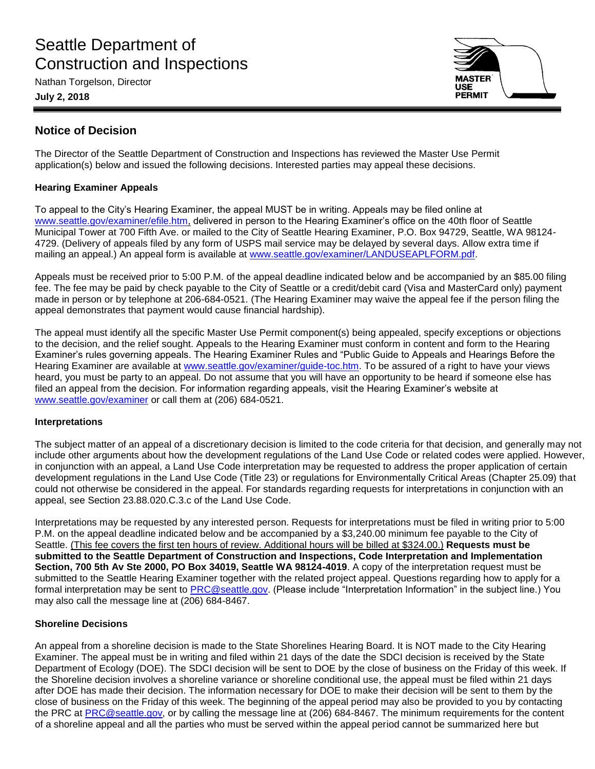# Seattle Department of Construction and Inspections

Nathan Torgelson, Director

**July 2, 2018**



# **Notice of Decision**

The Director of the Seattle Department of Construction and Inspections has reviewed the Master Use Permit application(s) below and issued the following decisions. Interested parties may appeal these decisions.

## **Hearing Examiner Appeals**

To appeal to the City's Hearing Examiner, the appeal MUST be in writing. Appeals may be filed online at [www.seattle.gov/examiner/efile.htm,](http://www.seattle.gov/examiner/efile.htm) delivered in person to the Hearing Examiner's office on the 40th floor of Seattle Municipal Tower at 700 Fifth Ave. or mailed to the City of Seattle Hearing Examiner, P.O. Box 94729, Seattle, WA 98124- 4729. (Delivery of appeals filed by any form of USPS mail service may be delayed by several days. Allow extra time if mailing an appeal.) An appeal form is available at [www.seattle.gov/examiner/LANDUSEAPLFORM.pdf.](http://www.seattle.gov/examiner/LANDUSEAPLFORM.pdf)

Appeals must be received prior to 5:00 P.M. of the appeal deadline indicated below and be accompanied by an \$85.00 filing fee. The fee may be paid by check payable to the City of Seattle or a credit/debit card (Visa and MasterCard only) payment made in person or by telephone at 206-684-0521. (The Hearing Examiner may waive the appeal fee if the person filing the appeal demonstrates that payment would cause financial hardship).

The appeal must identify all the specific Master Use Permit component(s) being appealed, specify exceptions or objections to the decision, and the relief sought. Appeals to the Hearing Examiner must conform in content and form to the Hearing Examiner's rules governing appeals. The Hearing Examiner Rules and "Public Guide to Appeals and Hearings Before the Hearing Examiner are available at [www.seattle.gov/examiner/guide-toc.htm.](http://www.seattle.gov/examiner/guide-toc.htm) To be assured of a right to have your views heard, you must be party to an appeal. Do not assume that you will have an opportunity to be heard if someone else has filed an appeal from the decision. For information regarding appeals, visit the Hearing Examiner's website at [www.seattle.gov/examiner](http://www.seattle.gov/examiner) or call them at (206) 684-0521.

### **Interpretations**

The subject matter of an appeal of a discretionary decision is limited to the code criteria for that decision, and generally may not include other arguments about how the development regulations of the Land Use Code or related codes were applied. However, in conjunction with an appeal, a Land Use Code interpretation may be requested to address the proper application of certain development regulations in the Land Use Code (Title 23) or regulations for Environmentally Critical Areas (Chapter 25.09) that could not otherwise be considered in the appeal. For standards regarding requests for interpretations in conjunction with an appeal, see Section 23.88.020.C.3.c of the Land Use Code.

Interpretations may be requested by any interested person. Requests for interpretations must be filed in writing prior to 5:00 P.M. on the appeal deadline indicated below and be accompanied by a \$3,240.00 minimum fee payable to the City of Seattle. (This fee covers the first ten hours of review. Additional hours will be billed at \$324.00.) **Requests must be submitted to the Seattle Department of Construction and Inspections, Code Interpretation and Implementation Section, 700 5th Av Ste 2000, PO Box 34019, Seattle WA 98124-4019**. A copy of the interpretation request must be submitted to the Seattle Hearing Examiner together with the related project appeal. Questions regarding how to apply for a formal interpretation may be sent to [PRC@seattle.gov.](mailto:PRC@seattle.gov) (Please include "Interpretation Information" in the subject line.) You may also call the message line at (206) 684-8467.

### **Shoreline Decisions**

An appeal from a shoreline decision is made to the State Shorelines Hearing Board. It is NOT made to the City Hearing Examiner. The appeal must be in writing and filed within 21 days of the date the SDCI decision is received by the State Department of Ecology (DOE). The SDCI decision will be sent to DOE by the close of business on the Friday of this week. If the Shoreline decision involves a shoreline variance or shoreline conditional use, the appeal must be filed within 21 days after DOE has made their decision. The information necessary for DOE to make their decision will be sent to them by the close of business on the Friday of this week. The beginning of the appeal period may also be provided to you by contacting the PRC at [PRC@seattle.gov,](mailto:PRC@seattle.gov) or by calling the message line at (206) 684-8467. The minimum requirements for the content of a shoreline appeal and all the parties who must be served within the appeal period cannot be summarized here but